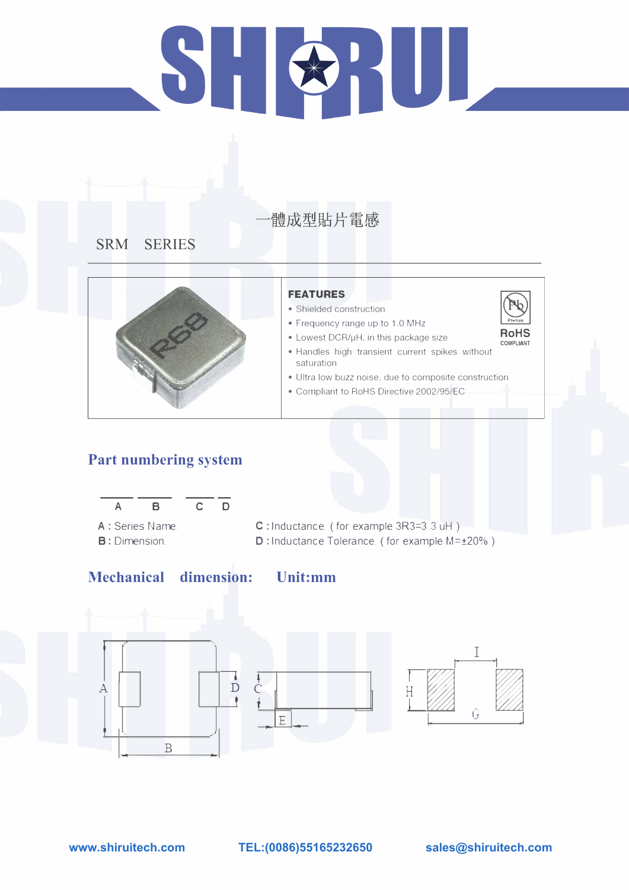# 51 HULLER AND

# 體成型貼片電感

# **SRM SERIES**



# **Part numbering system**



A : Series Name. B: Dimension.

# **Mechanical dimension:**

·· ..

## **FEATURES**

- Shielded construction
- Frequency range up to 1.0 MHz

- Lowest DCR/µH, in this package size
- Handles high transient current spikes without saturation
- Ultra low buzz noise. due to composite construction
- Compliant to RoHS Directive 2002/95/EC





C : Inductance\_ ( for example 3R3=3 .3 uH ) D: Inductance Tolerance. ( for example M=±20%)

**Unit:mm** 

# **www.shiruitech.com TEL:(0086)55165232650 sales@shiruitech.com**